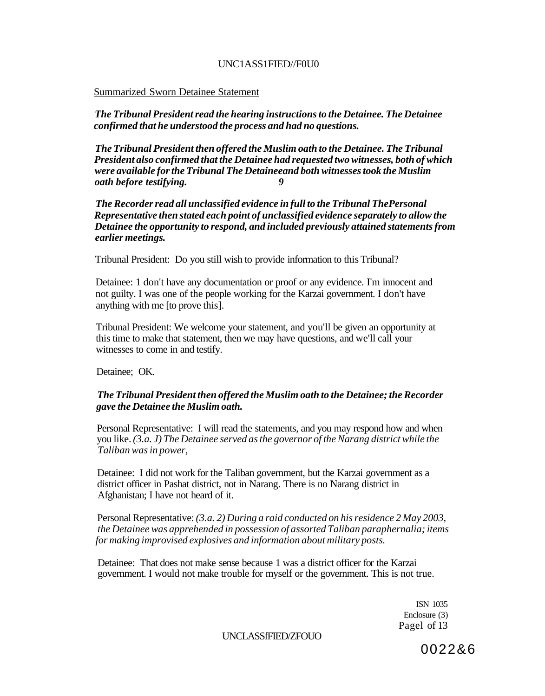## UNC1ASS1FIED//F0U0

### Summarized Sworn Detainee Statement

*The Tribunal President read the hearing instructions to the Detainee. The Detainee confirmed that he understood the process and had no questions.* 

*The Tribunal President then offered the Muslim oath to the Detainee. The Tribunal President also confirmed that the Detainee had requested two witnesses, both of which were available for the Tribunal The Detaineeand both witnesses took the Muslim oath before testifying.* 

*The Recorder read all unclassified evidence in full to the Tribunal ThePersonal Representative then stated each point of unclassified evidence separately to allow the Detainee the opportunity to respond, and included previously attained statements from earlier meetings.* 

Tribunal President: Do you still wish to provide information to this Tribunal?

Detainee: 1 don't have any documentation or proof or any evidence. I'm innocent and not guilty. I was one of the people working for the Karzai government. I don't have anything with me [to prove this].

Tribunal President: We welcome your statement, and you'll be given an opportunity at this time to make that statement, then we may have questions, and we'll call your witnesses to come in and testify.

Detainee; OK.

## *The Tribunal President then offered the Muslim oath to the Detainee; the Recorder gave the Detainee the Muslim oath.*

Personal Representative: I will read the statements, and you may respond how and when you like. *(3.a. J) The Detainee served as the governor of the Narang district while the Taliban was in power,* 

Detainee: I did not work for the Taliban government, but the Karzai government as a district officer in Pashat district, not in Narang. There is no Narang district in Afghanistan; I have not heard of it.

Personal Representative: *(3.a. 2) During a raid conducted on his residence 2 May 2003, the Detainee was apprehended in possession of assorted Taliban paraphernalia; items for making improvised explosives and information about military posts.* 

Detainee: That does not make sense because 1 was a district officer for the Karzai government. I would not make trouble for myself or the government. This is not true.

> ISN 1035 Enclosure (3) Pagel of 13

UNCLASSfFIED/ZFOUO

0022&6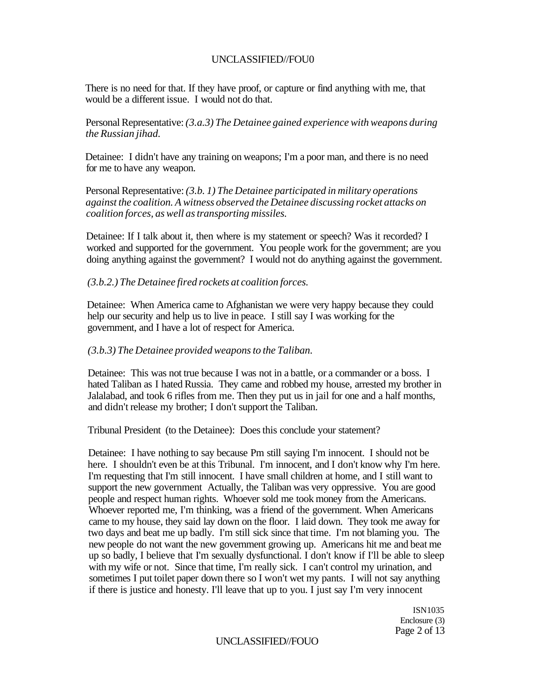There is no need for that. If they have proof, or capture or find anything with me, that would be a different issue. I would not do that.

Personal Representative: *(3.a.3) The Detainee gained experience with weapons during the Russian jihad.* 

Detainee: I didn't have any training on weapons; I'm a poor man, and there is no need for me to have any weapon.

Personal Representative: *(3.b. 1) The Detainee participated in military operations against the coalition. A witness observed the Detainee discussing rocket attacks on coalition forces, as well as transporting missiles.* 

Detainee: If I talk about it, then where is my statement or speech? Was it recorded? I worked and supported for the government. You people work for the government; are you doing anything against the government? I would not do anything against the government.

#### *(3.b.2.) The Detainee fired rockets at coalition forces.*

Detainee: When America came to Afghanistan we were very happy because they could help our security and help us to live in peace. I still say I was working for the government, and I have a lot of respect for America.

#### *(3.b.3) The Detainee provided weapons to the Taliban.*

Detainee: This was not true because I was not in a battle, or a commander or a boss. I hated Taliban as I hated Russia. They came and robbed my house, arrested my brother in Jalalabad, and took 6 rifles from me. Then they put us in jail for one and a half months, and didn't release my brother; I don't support the Taliban.

Tribunal President (to the Detainee): Does this conclude your statement?

Detainee: I have nothing to say because Pm still saying I'm innocent. I should not be here. I shouldn't even be at this Tribunal. I'm innocent, and I don't know why I'm here. I'm requesting that I'm still innocent. I have small children at home, and I still want to support the new government Actually, the Taliban was very oppressive. You are good people and respect human rights. Whoever sold me took money from the Americans. Whoever reported me, I'm thinking, was a friend of the government. When Americans came to my house, they said lay down on the floor. I laid down. They took me away for two days and beat me up badly. I'm still sick since that time. I'm not blaming you. The new people do not want the new government growing up. Americans hit me and beat me up so badly, I believe that I'm sexually dysfunctional. I don't know if I'll be able to sleep with my wife or not. Since that time, I'm really sick. I can't control my urination, and sometimes I put toilet paper down there so I won't wet my pants. I will not say anything if there is justice and honesty. I'll leave that up to you. I just say I'm very innocent

> ISN1035 Enclosure (3) Page 2 of 13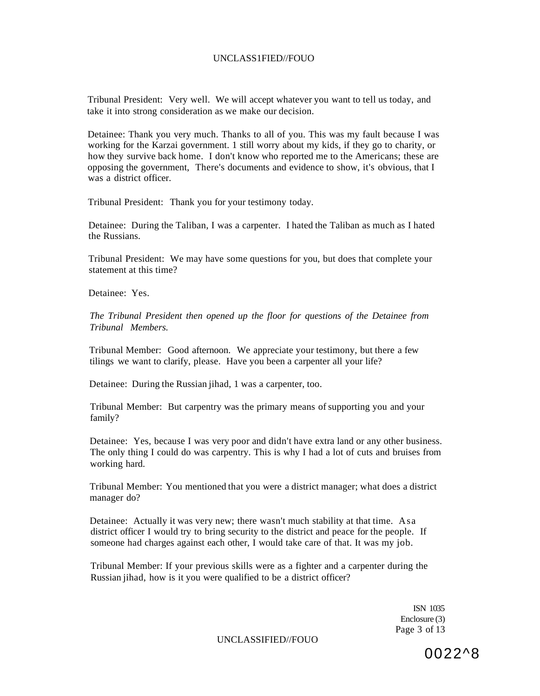Tribunal President: Very well. We will accept whatever you want to tell us today, and take it into strong consideration as we make our decision.

Detainee: Thank you very much. Thanks to all of you. This was my fault because I was working for the Karzai government. 1 still worry about my kids, if they go to charity, or how they survive back home. I don't know who reported me to the Americans; these are opposing the government, There's documents and evidence to show, it's obvious, that I was a district officer.

Tribunal President: Thank you for your testimony today.

Detainee: During the Taliban, I was a carpenter. I hated the Taliban as much as I hated the Russians.

Tribunal President: We may have some questions for you, but does that complete your statement at this time?

Detainee: Yes.

*The Tribunal President then opened up the floor for questions of the Detainee from Tribunal Members.* 

Tribunal Member: Good afternoon. We appreciate your testimony, but there a few tilings we want to clarify, please. Have you been a carpenter all your life?

Detainee: During the Russian jihad, 1 was a carpenter, too.

Tribunal Member: But carpentry was the primary means of supporting you and your family?

Detainee: Yes, because I was very poor and didn't have extra land or any other business. The only thing I could do was carpentry. This is why I had a lot of cuts and bruises from working hard.

Tribunal Member: You mentioned that you were a district manager; what does a district manager do?

Detainee: Actually it was very new; there wasn't much stability at that time. Asa district officer I would try to bring security to the district and peace for the people. If someone had charges against each other, I would take care of that. It was my job.

Tribunal Member: If your previous skills were as a fighter and a carpenter during the Russian jihad, how is it you were qualified to be a district officer?

> ISN 1035 Enclosure (3) Page 3 of 13

UNCLASSIFIED//FOUO

0022^8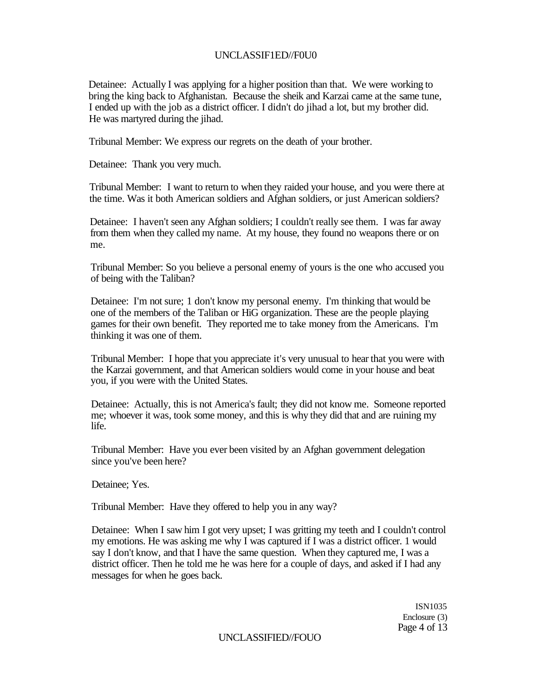### UNCLASSIF1ED//F0U0

Detainee: Actually I was applying for a higher position than that. We were working to bring the king back to Afghanistan. Because the sheik and Karzai came at the same tune, I ended up with the job as a district officer. I didn't do jihad a lot, but my brother did. He was martyred during the jihad.

Tribunal Member: We express our regrets on the death of your brother.

Detainee: Thank you very much.

Tribunal Member: I want to return to when they raided your house, and you were there at the time. Was it both American soldiers and Afghan soldiers, or just American soldiers?

Detainee: I haven't seen any Afghan soldiers; I couldn't really see them. I was far away from them when they called my name. At my house, they found no weapons there or on me.

Tribunal Member: So you believe a personal enemy of yours is the one who accused you of being with the Taliban?

Detainee: I'm not sure; 1 don't know my personal enemy. I'm thinking that would be one of the members of the Taliban or HiG organization. These are the people playing games for their own benefit. They reported me to take money from the Americans. I'm thinking it was one of them.

Tribunal Member: I hope that you appreciate it's very unusual to hear that you were with the Karzai government, and that American soldiers would come in your house and beat you, if you were with the United States.

Detainee: Actually, this is not America's fault; they did not know me. Someone reported me; whoever it was, took some money, and this is why they did that and are ruining my life.

Tribunal Member: Have you ever been visited by an Afghan government delegation since you've been here?

Detainee; Yes.

Tribunal Member: Have they offered to help you in any way?

Detainee: When I saw him I got very upset; I was gritting my teeth and I couldn't control my emotions. He was asking me why I was captured if I was a district officer. 1 would say I don't know, and that I have the same question. When they captured me, I was a district officer. Then he told me he was here for a couple of days, and asked if I had any messages for when he goes back.

> ISN1035 Enclosure (3) Page 4 of 13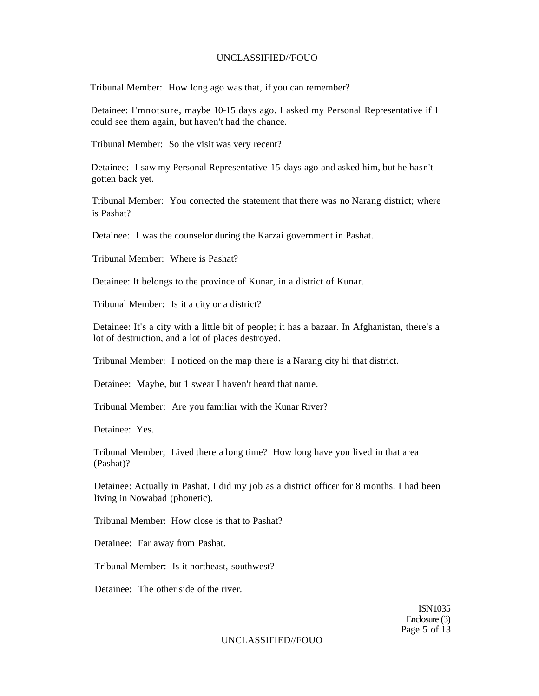Tribunal Member: How long ago was that, if you can remember?

Detainee: I'mnotsure, maybe 10-15 days ago. I asked my Personal Representative if I could see them again, but haven't had the chance.

Tribunal Member: So the visit was very recent?

Detainee: I saw my Personal Representative 15 days ago and asked him, but he hasn't gotten back yet.

Tribunal Member: You corrected the statement that there was no Narang district; where is Pashat?

Detainee: I was the counselor during the Karzai government in Pashat.

Tribunal Member: Where is Pashat?

Detainee: It belongs to the province of Kunar, in a district of Kunar.

Tribunal Member: Is it a city or a district?

Detainee: It's a city with a little bit of people; it has a bazaar. In Afghanistan, there's a lot of destruction, and a lot of places destroyed.

Tribunal Member: I noticed on the map there is a Narang city hi that district.

Detainee: Maybe, but 1 swear I haven't heard that name.

Tribunal Member: Are you familiar with the Kunar River?

Detainee: Yes.

Tribunal Member; Lived there a long time? How long have you lived in that area (Pashat)?

Detainee: Actually in Pashat, I did my job as a district officer for 8 months. I had been living in Nowabad (phonetic).

Tribunal Member: How close is that to Pashat?

Detainee: Far away from Pashat.

Tribunal Member: Is it northeast, southwest?

Detainee: The other side of the river.

ISN1035 Enclosure (3) Page 5 of 13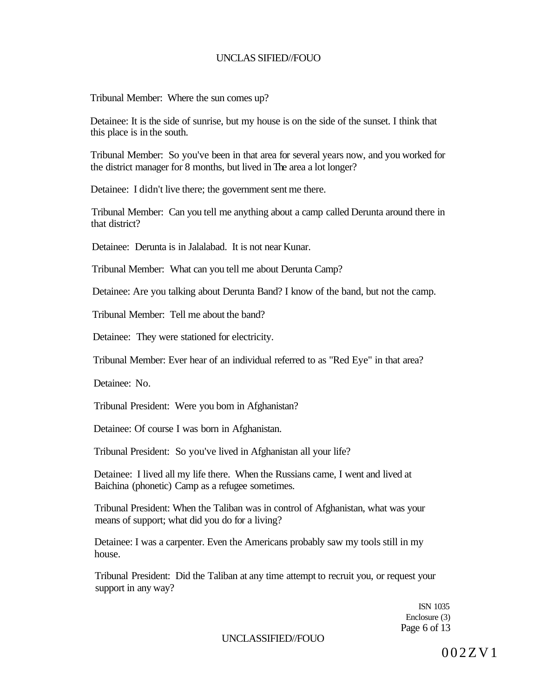Tribunal Member: Where the sun comes up?

Detainee: It is the side of sunrise, but my house is on the side of the sunset. I think that this place is in the south.

Tribunal Member: So you've been in that area for several years now, and you worked for the district manager for 8 months, but lived in The area a lot longer?

Detainee: I didn't live there; the government sent me there.

Tribunal Member: Can you tell me anything about a camp called Derunta around there in that district?

Detainee: Derunta is in Jalalabad. It is not near Kunar.

Tribunal Member: What can you tell me about Derunta Camp?

Detainee: Are you talking about Derunta Band? I know of the band, but not the camp.

Tribunal Member: Tell me about the band?

Detainee: They were stationed for electricity.

Tribunal Member: Ever hear of an individual referred to as "Red Eye" in that area?

Detainee: No.

Tribunal President: Were you bom in Afghanistan?

Detainee: Of course I was born in Afghanistan.

Tribunal President: So you've lived in Afghanistan all your life?

Detainee: I lived all my life there. When the Russians came, I went and lived at Baichina (phonetic) Camp as a refugee sometimes.

Tribunal President: When the Taliban was in control of Afghanistan, what was your means of support; what did you do for a living?

Detainee: I was a carpenter. Even the Americans probably saw my tools still in my house.

Tribunal President: Did the Taliban at any time attempt to recruit you, or request your support in any way?

> ISN 1035 Enclosure (3) Page 6 of 13

UNCLASSIFIED//FOUO

002ZV1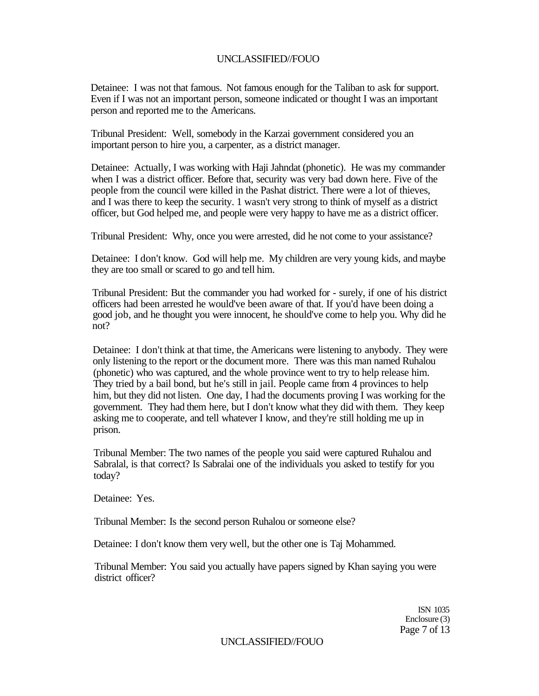Detainee: I was not that famous. Not famous enough for the Taliban to ask for support. Even if I was not an important person, someone indicated or thought I was an important person and reported me to the Americans.

Tribunal President: Well, somebody in the Karzai government considered you an important person to hire you, a carpenter, as a district manager.

Detainee: Actually, I was working with Haji Jahndat (phonetic). He was my commander when I was a district officer. Before that, security was very bad down here. Five of the people from the council were killed in the Pashat district. There were a lot of thieves, and I was there to keep the security. 1 wasn't very strong to think of myself as a district officer, but God helped me, and people were very happy to have me as a district officer.

Tribunal President: Why, once you were arrested, did he not come to your assistance?

Detainee: I don't know. God will help me. My children are very young kids, and maybe they are too small or scared to go and tell him.

Tribunal President: But the commander you had worked for - surely, if one of his district officers had been arrested he would've been aware of that. If you'd have been doing a good job, and he thought you were innocent, he should've come to help you. Why did he not?

Detainee: I don't think at that time, the Americans were listening to anybody. They were only listening to the report or the document more. There was this man named Ruhalou (phonetic) who was captured, and the whole province went to try to help release him. They tried by a bail bond, but he's still in jail. People came from 4 provinces to help him, but they did not listen. One day, I had the documents proving I was working for the government. They had them here, but I don't know what they did with them. They keep asking me to cooperate, and tell whatever I know, and they're still holding me up in prison.

Tribunal Member: The two names of the people you said were captured Ruhalou and Sabralal, is that correct? Is Sabralai one of the individuals you asked to testify for you today?

Detainee: Yes.

Tribunal Member: Is the second person Ruhalou or someone else?

Detainee: I don't know them very well, but the other one is Taj Mohammed.

Tribunal Member: You said you actually have papers signed by Khan saying you were district officer?

> ISN 1035 Enclosure (3) Page 7 of 13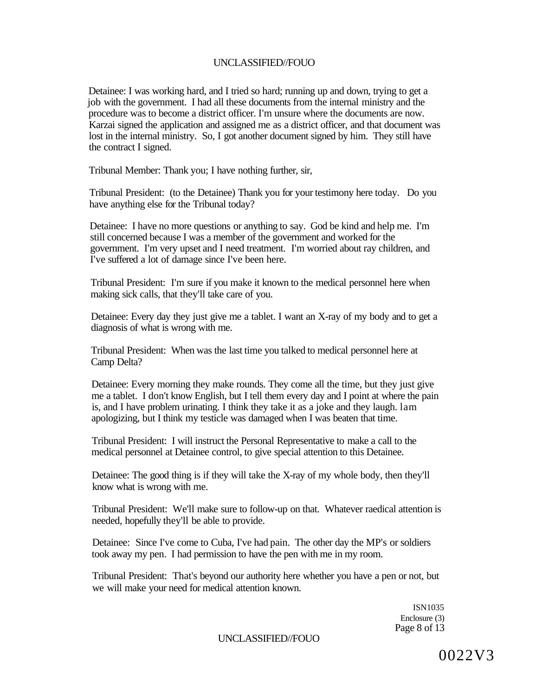Detainee: I was working hard, and I tried so hard; running up and down, trying to get a job with the government. I had all these documents from the internal ministry and the procedure was to become a district officer. I'm unsure where the documents are now. Karzai signed the application and assigned me as a district officer, and that document was lost in the internal ministry. So, I got another document signed by him. They still have the contract I signed.

Tribunal Member: Thank you; I have nothing further, sir,

Tribunal President: (to the Detainee) Thank you for your testimony here today. Do you have anything else for the Tribunal today?

Detainee: I have no more questions or anything to say. God be kind and help me. I'm still concerned because I was a member of the government and worked for the government. I'm very upset and I need treatment. I'm worried about ray children, and I've suffered a lot of damage since I've been here.

Tribunal President: I'm sure if you make it known to the medical personnel here when making sick calls, that they'll take care of you.

Detainee: Every day they just give me a tablet. I want an X-ray of my body and to get a diagnosis of what is wrong with me.

Tribunal President: When was the last time you talked to medical personnel here at Camp Delta?

Detainee: Every morning they make rounds. They come all the time, but they just give me a tablet. I don't know English, but I tell them every day and I point at where the pain is, and I have problem urinating. I think they take it as a joke and they laugh. lam apologizing, but I think my testicle was damaged when I was beaten that time.

Tribunal President: I will instruct the Personal Representative to make a call to the medical personnel at Detainee control, to give special attention to this Detainee.

Detainee: The good thing is if they will take the X-ray of my whole body, then they'll know what is wrong with me.

Tribunal President: We'll make sure to follow-up on that. Whatever raedical attention is needed, hopefully they'll be able to provide.

Detainee: Since I've come to Cuba, I've had pain. The other day the MP's or soldiers took away my pen. I had permission to have the pen with me in my room.

Tribunal President: That's beyond our authority here whether you have a pen or not, but we will make your need for medical attention known.

> ISN1035 Enclosure (3) Page 8 of 13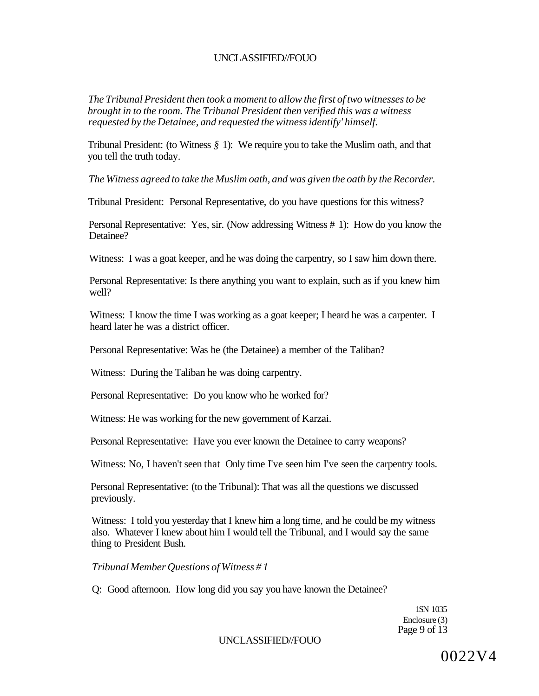*The Tribunal President then took a moment to allow the first of two witnesses to be brought in to the room. The Tribunal President then verified this was a witness requested by the Detainee, and requested the witness identify' himself.* 

Tribunal President: (to Witness *§* 1): We require you to take the Muslim oath, and that you tell the truth today.

*The Witness agreed to take the Muslim oath, and was given the oath by the Recorder.* 

Tribunal President: Personal Representative, do you have questions for this witness?

Personal Representative: Yes, sir. (Now addressing Witness # 1): How do you know the Detainee?

Witness: I was a goat keeper, and he was doing the carpentry, so I saw him down there.

Personal Representative: Is there anything you want to explain, such as if you knew him well?

Witness: I know the time I was working as a goat keeper; I heard he was a carpenter. I heard later he was a district officer.

Personal Representative: Was he (the Detainee) a member of the Taliban?

Witness: During the Taliban he was doing carpentry.

Personal Representative: Do you know who he worked for?

Witness: He was working for the new government of Karzai.

Personal Representative: Have you ever known the Detainee to carry weapons?

Witness: No, I haven't seen that Only time I've seen him I've seen the carpentry tools.

Personal Representative: (to the Tribunal): That was all the questions we discussed previously.

Witness: I told you yesterday that I knew him a long time, and he could be my witness also. Whatever I knew about him I would tell the Tribunal, and I would say the same thing to President Bush.

*Tribunal Member Questions of Witness # 1* 

Q: Good afternoon. How long did you say you have known the Detainee?

1SN 1035 Enclosure (3) Page 9 of 13

UNCLASSIFIED//FOUO

0022V4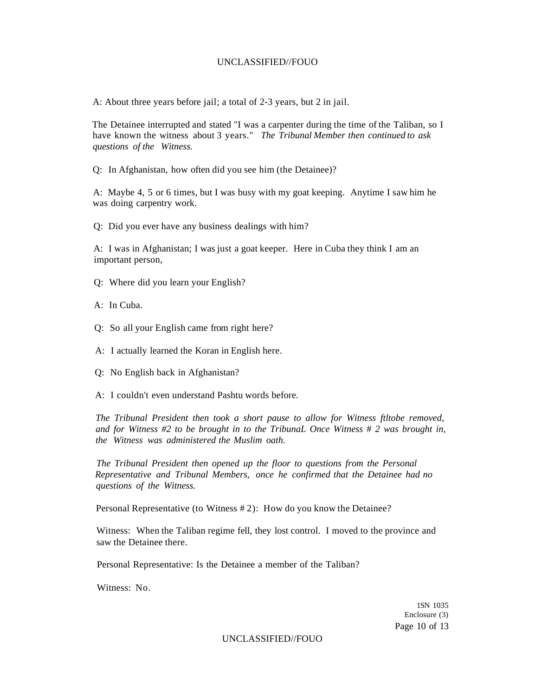A: About three years before jail; a total of 2-3 years, but 2 in jail.

The Detainee interrupted and stated "I was a carpenter during the time of the Taliban, so I have known the witness about 3 years." *The Tribunal Member then continued to ask questions of the Witness.* 

Q: In Afghanistan, how often did you see him (the Detainee)?

A: Maybe 4, 5 or 6 times, but I was busy with my goat keeping. Anytime I saw him he was doing carpentry work.

Q: Did you ever have any business dealings with him?

A: I was in Afghanistan; I was just a goat keeper. Here in Cuba they think I am an important person,

Q: Where did you learn your English?

A: In Cuba.

Q: So all your English came from right here?

A: I actually learned the Koran in English here.

Q: No English back in Afghanistan?

A: I couldn't even understand Pashtu words before.

*The Tribunal President then took a short pause to allow for Witness ftltobe removed, and for Witness #2 to be brought in to the TribunaL Once Witness* # *2 was brought in, the Witness was administered the Muslim oath.* 

*The Tribunal President then opened up the floor to questions from the Personal Representative and Tribunal Members, once he confirmed that the Detainee had no questions of the Witness.* 

Personal Representative (to Witness # 2): How do you know the Detainee?

Witness: When the Taliban regime fell, they lost control. I moved to the province and saw the Detainee there.

Personal Representative: Is the Detainee a member of the Taliban?

Witness: No.

1SN 1035 Enclosure (3) Page 10 of 13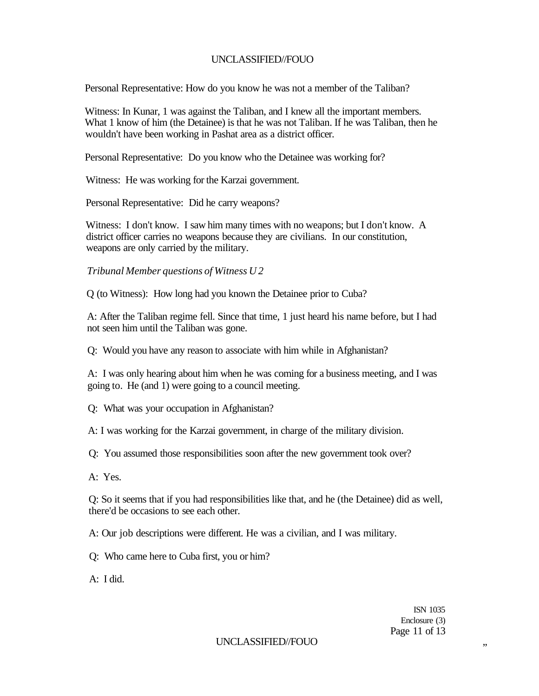Personal Representative: How do you know he was not a member of the Taliban?

Witness: In Kunar, 1 was against the Taliban, and I knew all the important members. What 1 know of him (the Detainee) is that he was not Taliban. If he was Taliban, then he wouldn't have been working in Pashat area as a district officer.

Personal Representative: Do you know who the Detainee was working for?

Witness: He was working for the Karzai government.

Personal Representative: Did he carry weapons?

Witness: I don't know. I saw him many times with no weapons; but I don't know. A district officer carries no weapons because they are civilians. In our constitution, weapons are only carried by the military.

*Tribunal Member questions of Witness U 2* 

Q (to Witness): How long had you known the Detainee prior to Cuba?

A: After the Taliban regime fell. Since that time, 1 just heard his name before, but I had not seen him until the Taliban was gone.

Q: Would you have any reason to associate with him while in Afghanistan?

A: I was only hearing about him when he was coming for a business meeting, and I was going to. He (and 1) were going to a council meeting.

Q: What was your occupation in Afghanistan?

A: I was working for the Karzai government, in charge of the military division.

Q: You assumed those responsibilities soon after the new government took over?

A: Yes.

Q: So it seems that if you had responsibilities like that, and he (the Detainee) did as well, there'd be occasions to see each other.

A: Our job descriptions were different. He was a civilian, and I was military.

Q: Who came here to Cuba first, you or him?

A: I did.

ISN 1035 Enclosure (3) Page 11 of 13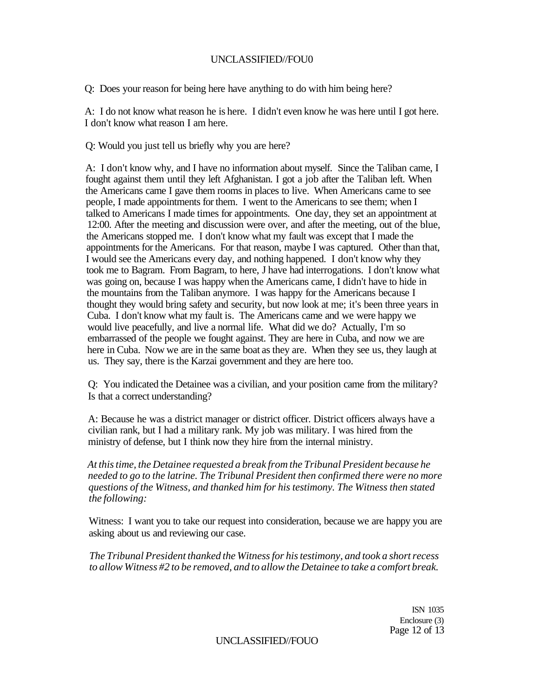Q: Does your reason for being here have anything to do with him being here?

A: I do not know what reason he is here. I didn't even know he was here until I got here. I don't know what reason I am here.

Q: Would you just tell us briefly why you are here?

A: I don't know why, and I have no information about myself. Since the Taliban came, I fought against them until they left Afghanistan. I got a job after the Taliban left. When the Americans came I gave them rooms in places to live. When Americans came to see people, I made appointments for them. I went to the Americans to see them; when I talked to Americans I made times for appointments. One day, they set an appointment at 12:00. After the meeting and discussion were over, and after the meeting, out of the blue, the Americans stopped me. I don't know what my fault was except that I made the appointments for the Americans. For that reason, maybe I was captured. Other than that, I would see the Americans every day, and nothing happened. I don't know why they took me to Bagram. From Bagram, to here, J have had interrogations. I don't know what was going on, because I was happy when the Americans came, I didn't have to hide in the mountains from the Taliban anymore. I was happy for the Americans because I thought they would bring safety and security, but now look at me; it's been three years in Cuba. I don't know what my fault is. The Americans came and we were happy we would live peacefully, and live a normal life. What did we do? Actually, I'm so embarrassed of the people we fought against. They are here in Cuba, and now we are here in Cuba. Now we are in the same boat as they are. When they see us, they laugh at us. They say, there is the Karzai government and they are here too.

Q: You indicated the Detainee was a civilian, and your position came from the military? Is that a correct understanding?

A: Because he was a district manager or district officer. District officers always have a civilian rank, but I had a military rank. My job was military. I was hired from the ministry of defense, but I think now they hire from the internal ministry.

*At this time, the Detainee requested a break from the Tribunal President because he needed to go to the latrine. The Tribunal President then confirmed there were no more questions of the Witness, and thanked him for his testimony. The Witness then stated the following:* 

Witness: I want you to take our request into consideration, because we are happy you are asking about us and reviewing our case.

*The Tribunal President thanked the Witness for his testimony, and took a short recess to allow Witness #2 to be removed, and to allow the Detainee to take a comfort break.* 

> ISN 1035 Enclosure (3) Page 12 of 13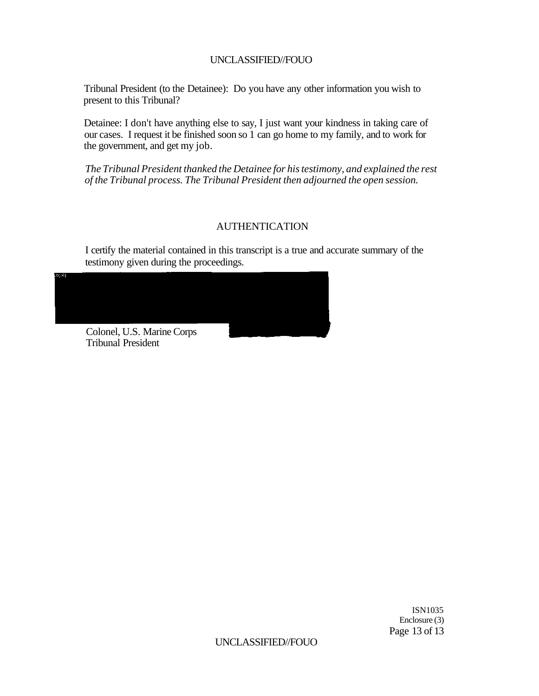Tribunal President (to the Detainee): Do you have any other information you wish to present to this Tribunal?

Detainee: I don't have anything else to say, I just want your kindness in taking care of our cases. I request it be finished soon so 1 can go home to my family, and to work for the government, and get my job.

*The Tribunal President thanked the Detainee for his testimony, and explained the rest of the Tribunal process. The Tribunal President then adjourned the open session.* 

## AUTHENTICATION

I certify the material contained in this transcript is a true and accurate summary of the testimony given during the proceedings.



ISN1035 Enclosure (3) Page 13 of 13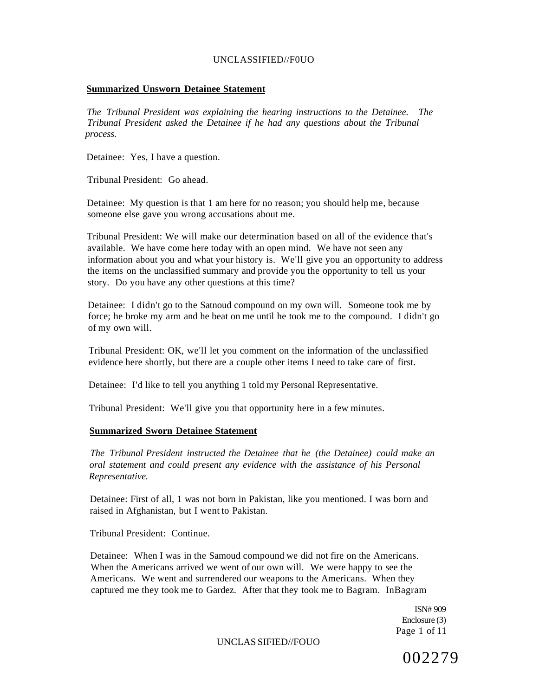#### **Summarized Unsworn Detainee Statement**

*The Tribunal President was explaining the hearing instructions to the Detainee. The Tribunal President asked the Detainee if he had any questions about the Tribunal process.* 

Detainee: Yes, I have a question.

Tribunal President: Go ahead.

Detainee: My question is that 1 am here for no reason; you should help me, because someone else gave you wrong accusations about me.

Tribunal President: We will make our determination based on all of the evidence that's available. We have come here today with an open mind. We have not seen any information about you and what your history is. We'll give you an opportunity to address the items on the unclassified summary and provide you the opportunity to tell us your story. Do you have any other questions at this time?

Detainee: I didn't go to the Satnoud compound on my own will. Someone took me by force; he broke my arm and he beat on me until he took me to the compound. I didn't go of my own will.

Tribunal President: OK, we'll let you comment on the information of the unclassified evidence here shortly, but there are a couple other items I need to take care of first.

Detainee: I'd like to tell you anything 1 told my Personal Representative.

Tribunal President: We'll give you that opportunity here in a few minutes.

#### **Summarized Sworn Detainee Statement**

*The Tribunal President instructed the Detainee that he (the Detainee) could make an oral statement and could present any evidence with the assistance of his Personal Representative.* 

Detainee: First of all, 1 was not born in Pakistan, like you mentioned. I was born and raised in Afghanistan, but I went to Pakistan.

Tribunal President: Continue.

Detainee: When I was in the Samoud compound we did not fire on the Americans. When the Americans arrived we went of our own will. We were happy to see the Americans. We went and surrendered our weapons to the Americans. When they captured me they took me to Gardez. After that they took me to Bagram. InBagram

> ISN# 909 Enclosure (3) Page 1 of 11

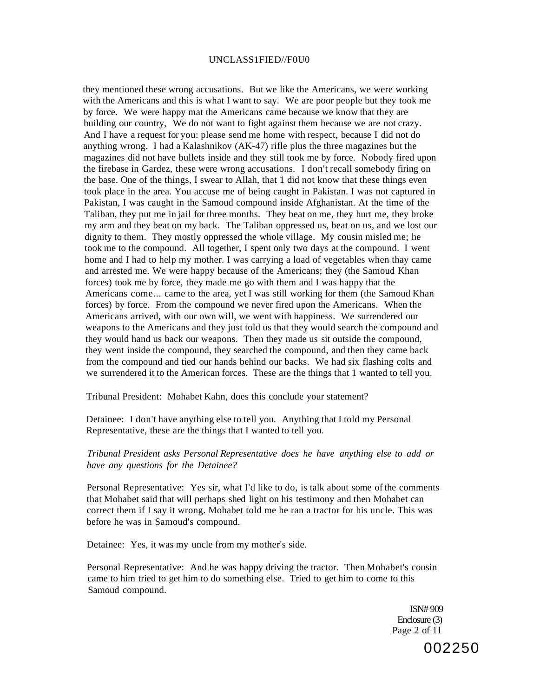#### UNCLASS1FIED//F0U0

they mentioned these wrong accusations. But we like the Americans, we were working with the Americans and this is what I want to say. We are poor people but they took me by force. We were happy mat the Americans came because we know that they are building our country, We do not want to fight against them because we are not crazy. And I have a request for you: please send me home with respect, because I did not do anything wrong. I had a Kalashnikov (AK-47) rifle plus the three magazines but the magazines did not have bullets inside and they still took me by force. Nobody fired upon the firebase in Gardez, these were wrong accusations. I don't recall somebody firing on the base. One of the things, I swear to Allah, that 1 did not know that these things even took place in the area. You accuse me of being caught in Pakistan. I was not captured in Pakistan, I was caught in the Samoud compound inside Afghanistan. At the time of the Taliban, they put me in jail for three months. They beat on me, they hurt me, they broke my arm and they beat on my back. The Taliban oppressed us, beat on us, and we lost our dignity to them. They mostly oppressed the whole village. My cousin misled me; he took me to the compound. All together, I spent only two days at the compound. I went home and I had to help my mother. I was carrying a load of vegetables when thay came and arrested me. We were happy because of the Americans; they (the Samoud Khan forces) took me by force, they made me go with them and I was happy that the Americans come... came to the area, yet I was still working for them (the Samoud Khan forces) by force. From the compound we never fired upon the Americans. When the Americans arrived, with our own will, we went with happiness. We surrendered our weapons to the Americans and they just told us that they would search the compound and they would hand us back our weapons. Then they made us sit outside the compound, they went inside the compound, they searched the compound, and then they came back from the compound and tied our hands behind our backs. We had six flashing colts and we surrendered it to the American forces. These are the things that 1 wanted to tell you.

Tribunal President: Mohabet Kahn, does this conclude your statement?

Detainee: I don't have anything else to tell you. Anything that I told my Personal Representative, these are the things that I wanted to tell you.

#### *Tribunal President asks Personal Representative does he have anything else to add or have any questions for the Detainee?*

Personal Representative: Yes sir, what I'd like to do, is talk about some of the comments that Mohabet said that will perhaps shed light on his testimony and then Mohabet can correct them if I say it wrong. Mohabet told me he ran a tractor for his uncle. This was before he was in Samoud's compound.

Detainee: Yes, it was my uncle from my mother's side.

Personal Representative: And he was happy driving the tractor. Then Mohabet's cousin came to him tried to get him to do something else. Tried to get him to come to this Samoud compound.

> ISN# 909 Enclosure (3) Page 2 of 11

> > 002250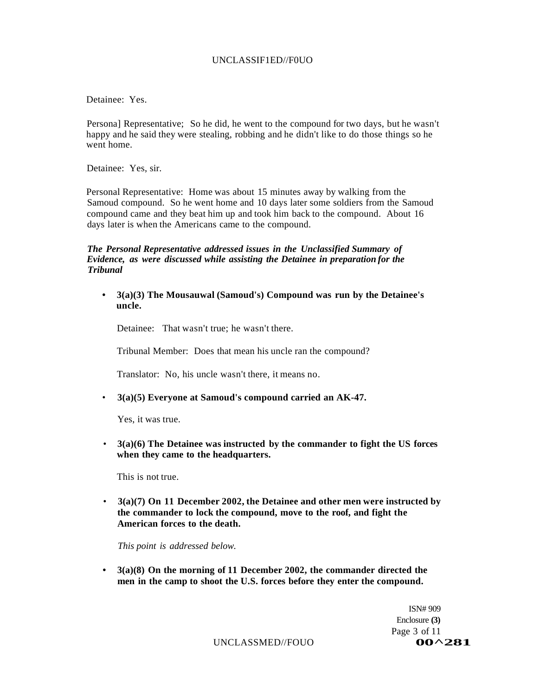#### UNCLASSIF1ED//F0UO

Detainee: Yes.

Persona] Representative; So he did, he went to the compound for two days, but he wasn't happy and he said they were stealing, robbing and he didn't like to do those things so he went home.

Detainee: Yes, sir.

Personal Representative: Home was about 15 minutes away by walking from the Samoud compound. So he went home and 10 days later some soldiers from the Samoud compound came and they beat him up and took him back to the compound. About 16 days later is when the Americans came to the compound.

#### *The Personal Representative addressed issues in the Unclassified Summary of Evidence, as were discussed while assisting the Detainee in preparation for the Tribunal*

**• 3(a)(3) The Mousauwal (Samoud's) Compound was run by the Detainee's uncle.** 

Detainee: That wasn't true; he wasn't there.

Tribunal Member: Does that mean his uncle ran the compound?

Translator: No, his uncle wasn't there, it means no.

• **3(a)(5) Everyone at Samoud's compound carried an AK-47.** 

Yes, it was true.

• **3(a)(6) The Detainee was instructed by the commander to fight the US forces when they came to the headquarters.** 

This is not true.

• **3(a)(7) On 11 December 2002, the Detainee and other men were instructed by the commander to lock the compound, move to the roof, and fight the American forces to the death.** 

*This point is addressed below.* 

**• 3(a)(8) On the morning of 11 December 2002, the commander directed the men in the camp to shoot the U.S. forces before they enter the compound.** 

> ISN# 909 Enclosure **(3)**  Page 3 of 11

UNCLASSMED//FOUO<br> **00^281**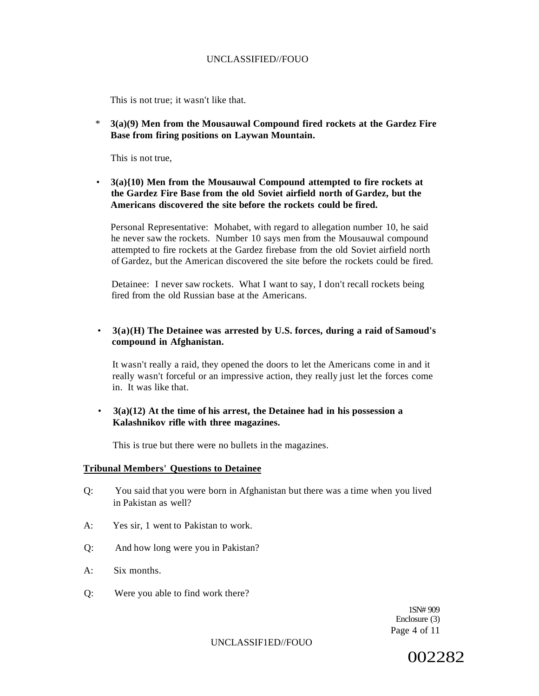This is not true; it wasn't like that.

\* **3(a)(9) Men from the Mousauwal Compound fired rockets at the Gardez Fire Base from firing positions on Laywan Mountain.** 

This is not true,

• **3(a){10) Men from the Mousauwal Compound attempted to fire rockets at the Gardez Fire Base from the old Soviet airfield north of Gardez, but the Americans discovered the site before the rockets could be fired.** 

Personal Representative: Mohabet, with regard to allegation number 10, he said he never saw the rockets. Number 10 says men from the Mousauwal compound attempted to fire rockets at the Gardez firebase from the old Soviet airfield north of Gardez, but the American discovered the site before the rockets could be fired.

Detainee: I never saw rockets. What I want to say, I don't recall rockets being fired from the old Russian base at the Americans.

## • **3(a)(H) The Detainee was arrested by U.S. forces, during a raid of Samoud's compound in Afghanistan.**

It wasn't really a raid, they opened the doors to let the Americans come in and it really wasn't forceful or an impressive action, they really just let the forces come in. It was like that.

### • **3(a)(12) At the time of his arrest, the Detainee had in his possession a Kalashnikov rifle with three magazines.**

This is true but there were no bullets in the magazines.

#### **Tribunal Members' Questions to Detainee**

- Q: You said that you were born in Afghanistan but there was a time when you lived in Pakistan as well?
- A: Yes sir, 1 went to Pakistan to work.
- Q: And how long were you in Pakistan?
- A: Six months.
- Q: Were you able to find work there?

1SN# 909 Enclosure (3) Page 4 of 11

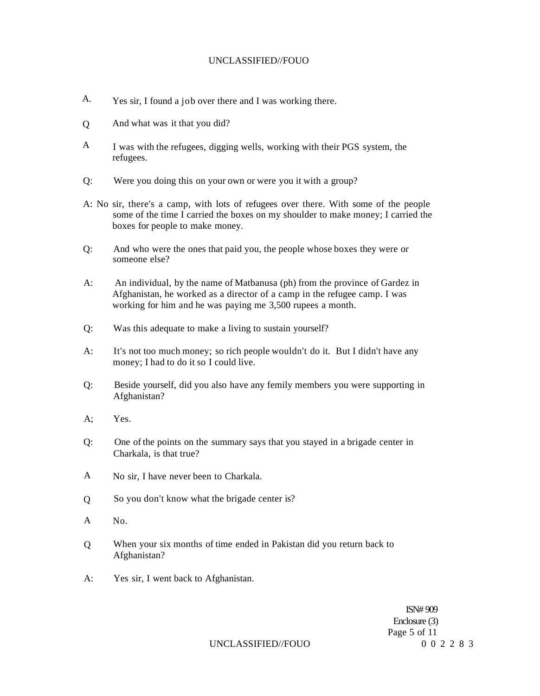- A. Yes sir, I found a job over there and I was working there.
- $\overline{O}$ And what was it that you did?
- A I was with the refugees, digging wells, working with their PGS system, the refugees.
- Q: Were you doing this on your own or were you it with a group?
- A: No sir, there's a camp, with lots of refugees over there. With some of the people some of the time I carried the boxes on my shoulder to make money; I carried the boxes for people to make money.
- Q: And who were the ones that paid you, the people whose boxes they were or someone else?
- A: An individual, by the name of Matbanusa (ph) from the province of Gardez in Afghanistan, he worked as a director of a camp in the refugee camp. I was working for him and he was paying me 3,500 rupees a month.
- Q: Was this adequate to make a living to sustain yourself?
- A: It's not too much money; so rich people wouldn't do it. But I didn't have any money; I had to do it so I could live.
- Q: Beside yourself, did you also have any femily members you were supporting in Afghanistan?
- A; Yes.
- Q: One of the points on the summary says that you stayed in a brigade center in Charkala, is that true?
- A No sir, I have never been to Charkala.
- $\overline{O}$ So you don't know what the brigade center is?
- A No.
- When your six months of time ended in Pakistan did you return back to Afghanistan? Q
- A: Yes sir, I went back to Afghanistan.

ISN# 909 Enclosure (3) Page 5 of 11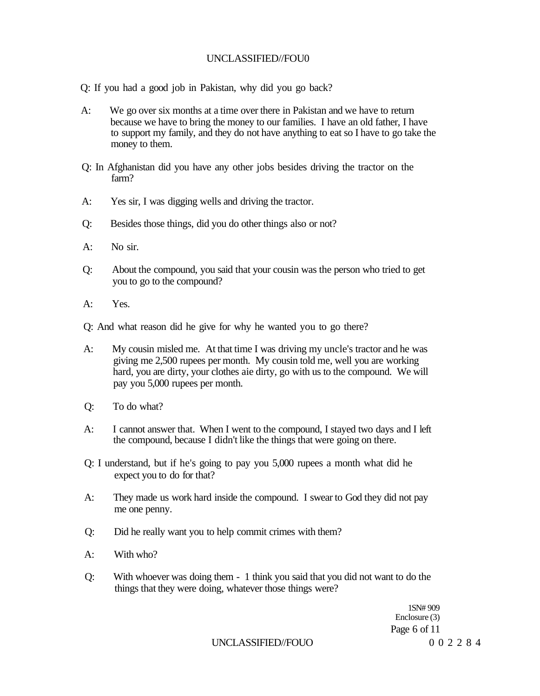Q: If you had a good job in Pakistan, why did you go back?

- A: We go over six months at a time over there in Pakistan and we have to return because we have to bring the money to our families. I have an old father, I have to support my family, and they do not have anything to eat so I have to go take the money to them.
- Q: In Afghanistan did you have any other jobs besides driving the tractor on the farm?
- A: Yes sir, I was digging wells and driving the tractor.
- Q: Besides those things, did you do other things also or not?
- A: No sir.
- Q: About the compound, you said that your cousin was the person who tried to get you to go to the compound?
- A: Yes.

Q: And what reason did he give for why he wanted you to go there?

- A: My cousin misled me. At that time I was driving my uncle's tractor and he was giving me 2,500 rupees per month. My cousin told me, well you are working hard, you are dirty, your clothes aie dirty, go with us to the compound. We will pay you 5,000 rupees per month.
- Q: To do what?
- A: I cannot answer that. When I went to the compound, I stayed two days and I left the compound, because I didn't like the things that were going on there.
- Q: I understand, but if he's going to pay you 5,000 rupees a month what did he expect you to do for that?
- A: They made us work hard inside the compound. I swear to God they did not pay me one penny.
- Q: Did he really want you to help commit crimes with them?
- A: With who?
- Q: With whoever was doing them 1 think you said that you did not want to do the things that they were doing, whatever those things were?

1SN# 909 Enclosure (3) Page 6 of 11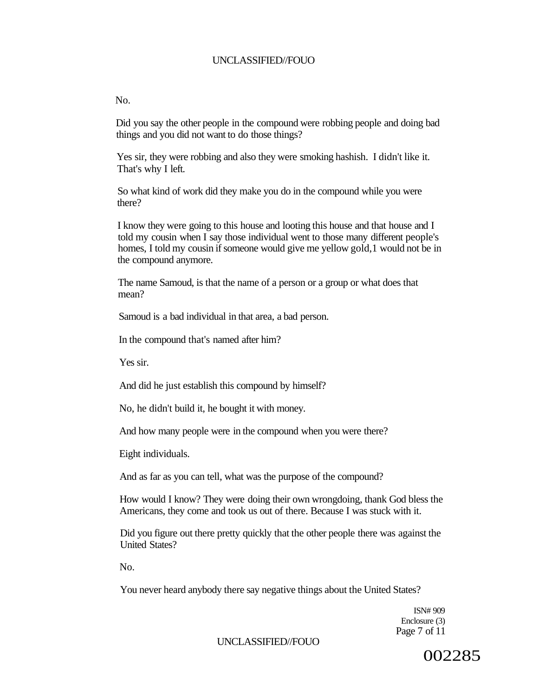#### $N<sub>0</sub>$

Did you say the other people in the compound were robbing people and doing bad things and you did not want to do those things?

Yes sir, they were robbing and also they were smoking hashish. I didn't like it. That's why I left.

So what kind of work did they make you do in the compound while you were there?

I know they were going to this house and looting this house and that house and I told my cousin when I say those individual went to those many different people's homes, I told my cousin if someone would give me yellow gold,1 would not be in the compound anymore.

The name Samoud, is that the name of a person or a group or what does that mean?

Samoud is a bad individual in that area, a bad person.

In the compound that's named after him?

Yes sir.

And did he just establish this compound by himself?

No, he didn't build it, he bought it with money.

And how many people were in the compound when you were there?

Eight individuals.

And as far as you can tell, what was the purpose of the compound?

How would I know? They were doing their own wrongdoing, thank God bless the Americans, they come and took us out of there. Because I was stuck with it.

Did you figure out there pretty quickly that the other people there was against the United States?

 $N<sub>0</sub>$ 

You never heard anybody there say negative things about the United States?

ISN# 909 Enclosure (3) Page 7 of 11

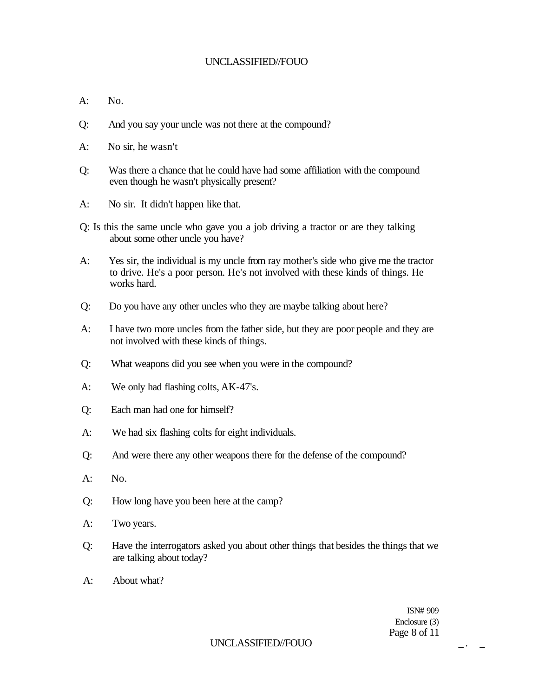- $A:$  No.
- Q: And you say your uncle was not there at the compound?
- A: No sir, he wasn't
- Q: Was there a chance that he could have had some affiliation with the compound even though he wasn't physically present?
- A: No sir. It didn't happen like that.
- Q: Is this the same uncle who gave you a job driving a tractor or are they talking about some other uncle you have?
- A: Yes sir, the individual is my uncle from ray mother's side who give me the tractor to drive. He's a poor person. He's not involved with these kinds of things. He works hard.
- Q: Do you have any other uncles who they are maybe talking about here?
- A: I have two more uncles from the father side, but they are poor people and they are not involved with these kinds of things.
- Q: What weapons did you see when you were in the compound?
- A: We only had flashing colts, AK-47's.
- Q: Each man had one for himself?
- A: We had six flashing colts for eight individuals.
- Q: And were there any other weapons there for the defense of the compound?
- $A:$  No.
- Q: How long have you been here at the camp?
- A: Two years.
- Q: Have the interrogators asked you about other things that besides the things that we are talking about today?
- A: About what?

ISN# 909 Enclosure (3) Page 8 of 11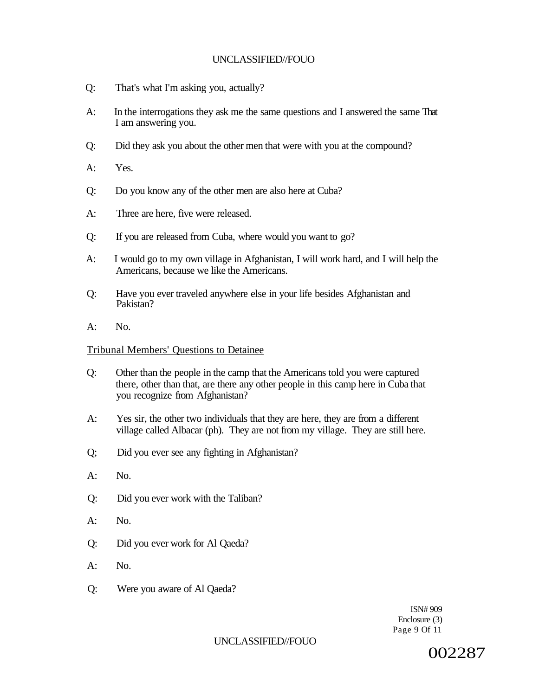- Q: That's what I'm asking you, actually?
- A: In the interrogations they ask me the same questions and I answered the same That I am answering you.
- Q: Did they ask you about the other men that were with you at the compound?
- A: Yes.
- Q: Do you know any of the other men are also here at Cuba?
- A: Three are here, five were released.
- Q: If you are released from Cuba, where would you want to go?
- A: I would go to my own village in Afghanistan, I will work hard, and I will help the Americans, because we like the Americans.
- Q: Have you ever traveled anywhere else in your life besides Afghanistan and Pakistan?
- A: No.

#### Tribunal Members' Questions to Detainee

- Q: Other than the people in the camp that the Americans told you were captured there, other than that, are there any other people in this camp here in Cuba that you recognize from Afghanistan?
- A: Yes sir, the other two individuals that they are here, they are from a different village called Albacar (ph). They are not from my village. They are still here.
- Q; Did you ever see any fighting in Afghanistan?
- $A:$  No.
- Q: Did you ever work with the Taliban?
- $A:$  No.
- Q: Did you ever work for Al Qaeda?
- A: No.
- Q: Were you aware of Al Qaeda?

ISN# 909 Enclosure (3) Page 9 Of 11

## UNCLASSIFIED//FOUO

002287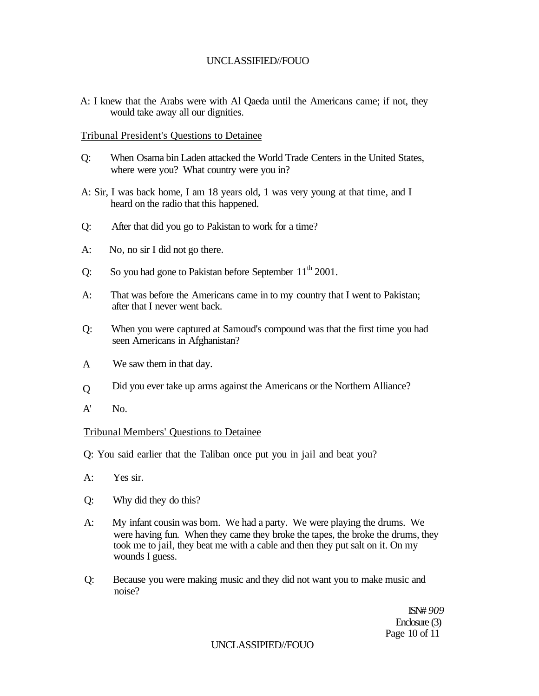A: I knew that the Arabs were with Al Qaeda until the Americans came; if not, they would take away all our dignities.

### Tribunal President's Questions to Detainee

- Q: When Osama bin Laden attacked the World Trade Centers in the United States, where were you? What country were you in?
- A: Sir, I was back home, I am 18 years old, 1 was very young at that time, and I heard on the radio that this happened.
- Q: After that did you go to Pakistan to work for a time?
- A: No, no sir I did not go there.
- Q: So you had gone to Pakistan before September  $11<sup>th</sup> 2001$ .
- A: That was before the Americans came in to my country that I went to Pakistan; after that I never went back.
- Q: When you were captured at Samoud's compound was that the first time you had seen Americans in Afghanistan?
- A We saw them in that day.
- $\overline{O}$ Did you ever take up arms against the Americans or the Northern Alliance?
- A' No.

#### Tribunal Members' Questions to Detainee

Q: You said earlier that the Taliban once put you in jail and beat you?

- A: Yes sir.
- Q: Why did they do this?
- A: My infant cousin was bom. We had a party. We were playing the drums. We were having fun. When they came they broke the tapes, the broke the drums, they took me to jail, they beat me with a cable and then they put salt on it. On my wounds I guess.
- Q: Because you were making music and they did not want you to make music and noise?

ISN# *909*  Enclosure (3) Page 10 of 11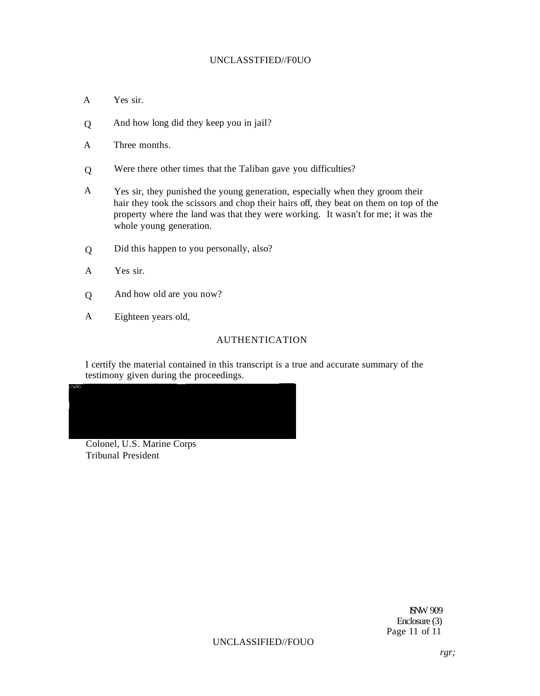### UNCLASSTFIED//F0UO

- A Yes sir.
- Q And how long did they keep you in jail?
- A Three months.
- $\overline{O}$ Were there other times that the Taliban gave you difficulties?
- A Yes sir, they punished the young generation, especially when they groom their hair they took the scissors and chop their hairs off, they beat on them on top of the property where the land was that they were working. It wasn't for me; it was the whole young generation.
- Q Did this happen to you personally, also?
- A Yes sir.
- Q And how old are you now?
- A Eighteen years old,

## AUTHENTICATION

I certify the material contained in this transcript is a true and accurate summary of the testimony given during the proceedings.



Colonel, U.S. Marine Corps Tribunal President

ISNW 909 Enclosure (3) Page 11 of 11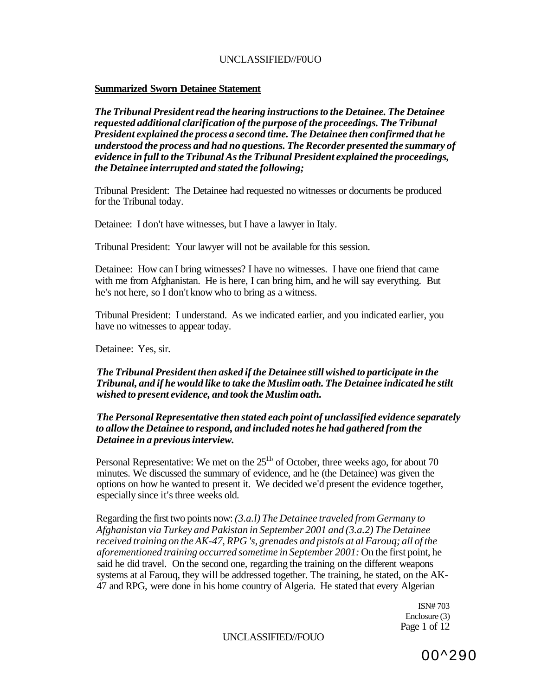### **Summarized Sworn Detainee Statement**

*The Tribunal President read the hearing instructions to the Detainee. The Detainee requested additional clarification of the purpose of the proceedings. The Tribunal President explained the process a second time. The Detainee then confirmed that he understood the process and had no questions. The Recorder presented the summary of evidence in full to the Tribunal As the Tribunal President explained the proceedings, the Detainee interrupted and stated the following;* 

Tribunal President: The Detainee had requested no witnesses or documents be produced for the Tribunal today.

Detainee: I don't have witnesses, but I have a lawyer in Italy.

Tribunal President: Your lawyer will not be available for this session.

Detainee: How can I bring witnesses? I have no witnesses. I have one friend that came with me from Afghanistan. He is here, I can bring him, and he will say everything. But he's not here, so I don't know who to bring as a witness.

Tribunal President: I understand. As we indicated earlier, and you indicated earlier, you have no witnesses to appear today.

Detainee: Yes, sir.

## *The Tribunal President then asked if the Detainee still wished to participate in the Tribunal, and if he would like to take the Muslim oath. The Detainee indicated he stilt wished to present evidence, and took the Muslim oath.*

### *The Personal Representative then stated each point of unclassified evidence separately to allow the Detainee to respond, and included notes he had gathered from the Detainee in a previous interview.*

Personal Representative: We met on the  $25<sup>11</sup>$  of October, three weeks ago, for about 70 minutes. We discussed the summary of evidence, and he (the Detainee) was given the options on how he wanted to present it. We decided we'd present the evidence together, especially since it's three weeks old.

Regarding the first two points now: *(3.a.l) The Detainee traveled from Germany to Afghanistan via Turkey and Pakistan in September 2001 and (3.a.2) The Detainee received training on the AK-47, RPG 's, grenades and pistols at al Farouq; all of the aforementioned training occurred sometime in September 2001:* On the first point, he said he did travel. On the second one, regarding the training on the different weapons systems at al Farouq, they will be addressed together. The training, he stated, on the AK-47 and RPG, were done in his home country of Algeria. He stated that every Algerian

> ISN# 703 Enclosure (3) Page 1 of 12

### UNCLASSIFIED//FOUO

00^290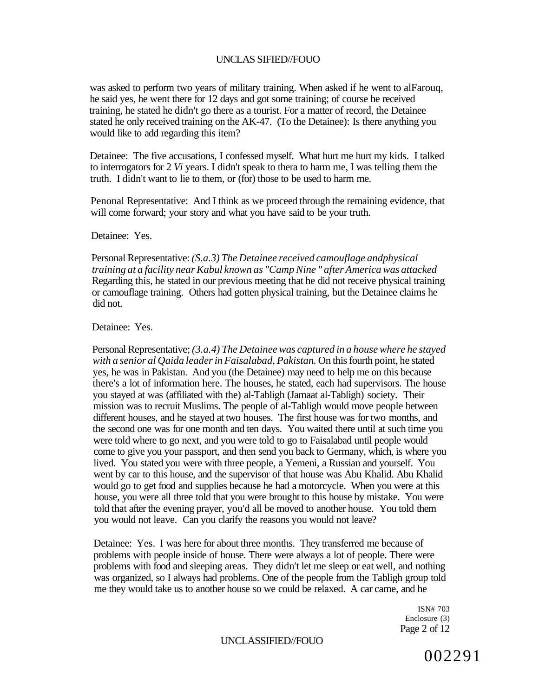was asked to perform two years of military training. When asked if he went to alFarouq, he said yes, he went there for 12 days and got some training; of course he received training, he stated he didn't go there as a tourist. For a matter of record, the Detainee stated he only received training on the AK-47. (To the Detainee): Is there anything you would like to add regarding this item?

Detainee: The five accusations, I confessed myself. What hurt me hurt my kids. I talked to interrogators for 2 *Vi* years. I didn't speak to thera to harm me, I was telling them the truth. I didn't want to lie to them, or (for) those to be used to harm me.

Penonal Representative: And I think as we proceed through the remaining evidence, that will come forward; your story and what you have said to be your truth.

Detainee: Yes.

Personal Representative: *(S.a.3) The Detainee received camouflage andphysical training at a facility near Kabul known as "Camp Nine " after America was attacked*  Regarding this, he stated in our previous meeting that he did not receive physical training or camouflage training. Others had gotten physical training, but the Detainee claims he did not.

Detainee: Yes.

Personal Representative; *(3.a.4) The Detainee was captured in a house where he stayed with a senior al Qaida leader in Faisalabad, Pakistan.* On this fourth point, he stated yes, he was in Pakistan. And you (the Detainee) may need to help me on this because there's a lot of information here. The houses, he stated, each had supervisors. The house you stayed at was (affiliated with the) al-Tabligh (Jamaat al-Tabligh) society. Their mission was to recruit Muslims. The people of al-Tabligh would move people between different houses, and he stayed at two houses. The first house was for two months, and the second one was for one month and ten days. You waited there until at such time you were told where to go next, and you were told to go to Faisalabad until people would come to give you your passport, and then send you back to Germany, which, is where you lived. You stated you were with three people, a Yemeni, a Russian and yourself. You went by car to this house, and the supervisor of that house was Abu Khalid. Abu Khalid would go to get food and supplies because he had a motorcycle. When you were at this house, you were all three told that you were brought to this house by mistake. You were told that after the evening prayer, you'd all be moved to another house. You told them you would not leave. Can you clarify the reasons you would not leave?

Detainee: Yes. I was here for about three months. They transferred me because of problems with people inside of house. There were always a lot of people. There were problems with food and sleeping areas. They didn't let me sleep or eat well, and nothing was organized, so I always had problems. One of the people from the Tabligh group told me they would take us to another house so we could be relaxed. A car came, and he

> ISN# 703 Enclosure (3) Page 2 of 12

UNCLASSIFIED//FOUO

002291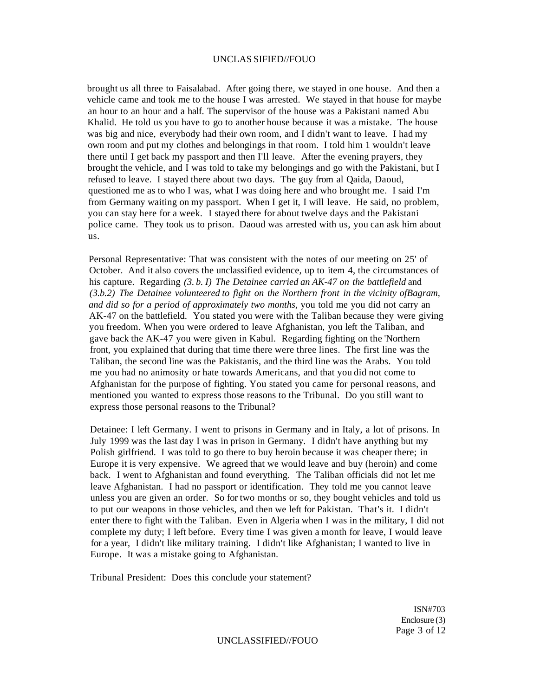brought us all three to Faisalabad. After going there, we stayed in one house. And then a vehicle came and took me to the house I was arrested. We stayed in that house for maybe an hour to an hour and a half. The supervisor of the house was a Pakistani named Abu Khalid. He told us you have to go to another house because it was a mistake. The house was big and nice, everybody had their own room, and I didn't want to leave. I had my own room and put my clothes and belongings in that room. I told him 1 wouldn't leave there until I get back my passport and then I'll leave. After the evening prayers, they brought the vehicle, and I was told to take my belongings and go with the Pakistani, but I refused to leave. I stayed there about two days. The guy from al Qaida, Daoud, questioned me as to who I was, what I was doing here and who brought me. I said I'm from Germany waiting on my passport. When I get it, I will leave. He said, no problem, you can stay here for a week. I stayed there for about twelve days and the Pakistani police came. They took us to prison. Daoud was arrested with us, you can ask him about us.

Personal Representative: That was consistent with the notes of our meeting on 25' of October. And it also covers the unclassified evidence, up to item 4, the circumstances of his capture. Regarding *(3. b. I) The Detainee carried an AK-47 on the battlefield* and *(3.b.2) The Detainee volunteered to fight on the Northern front in the vicinity ofBagram, and did so for a period of approximately two months,* you told me you did not carry an AK-47 on the battlefield. You stated you were with the Taliban because they were giving you freedom. When you were ordered to leave Afghanistan, you left the Taliban, and gave back the AK-47 you were given in Kabul. Regarding fighting on the 'Northern front, you explained that during that time there were three lines. The first line was the Taliban, the second line was the Pakistanis, and the third line was the Arabs. You told me you had no animosity or hate towards Americans, and that you did not come to Afghanistan for the purpose of fighting. You stated you came for personal reasons, and mentioned you wanted to express those reasons to the Tribunal. Do you still want to express those personal reasons to the Tribunal?

Detainee: I left Germany. I went to prisons in Germany and in Italy, a lot of prisons. In July 1999 was the last day I was in prison in Germany. I didn't have anything but my Polish girlfriend. I was told to go there to buy heroin because it was cheaper there; in Europe it is very expensive. We agreed that we would leave and buy (heroin) and come back. I went to Afghanistan and found everything. The Taliban officials did not let me leave Afghanistan. I had no passport or identification. They told me you cannot leave unless you are given an order. So for two months or so, they bought vehicles and told us to put our weapons in those vehicles, and then we left for Pakistan. That's it. I didn't enter there to fight with the Taliban. Even in Algeria when I was in the military, I did not complete my duty; I left before. Every time I was given a month for leave, I would leave for a year, I didn't like military training. I didn't like Afghanistan; I wanted to live in Europe. It was a mistake going to Afghanistan.

Tribunal President: Does this conclude your statement?

ISN#703 Enclosure (3) Page 3 of 12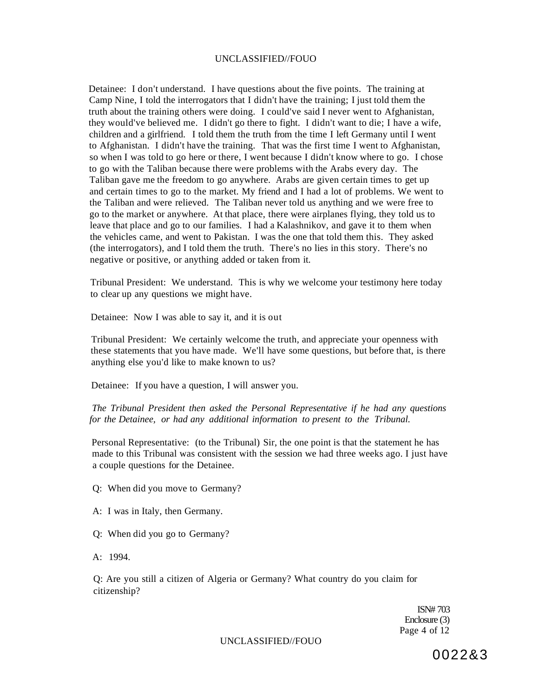Detainee: I don't understand. I have questions about the five points. The training at Camp Nine, I told the interrogators that I didn't have the training; I just told them the truth about the training others were doing. I could've said I never went to Afghanistan, they would've believed me. I didn't go there to fight. I didn't want to die; I have a wife, children and a girlfriend. I told them the truth from the time I left Germany until I went to Afghanistan. I didn't have the training. That was the first time I went to Afghanistan, so when I was told to go here or there, I went because I didn't know where to go. I chose to go with the Taliban because there were problems with the Arabs every day. The Taliban gave me the freedom to go anywhere. Arabs are given certain times to get up and certain times to go to the market. My friend and I had a lot of problems. We went to the Taliban and were relieved. The Taliban never told us anything and we were free to go to the market or anywhere. At that place, there were airplanes flying, they told us to leave that place and go to our families. I had a Kalashnikov, and gave it to them when the vehicles came, and went to Pakistan. I was the one that told them this. They asked (the interrogators), and I told them the truth. There's no lies in this story. There's no negative or positive, or anything added or taken from it.

Tribunal President: We understand. This is why we welcome your testimony here today to clear up any questions we might have.

Detainee: Now I was able to say it, and it is out

Tribunal President: We certainly welcome the truth, and appreciate your openness with these statements that you have made. We'll have some questions, but before that, is there anything else you'd like to make known to us?

Detainee: If you have a question, I will answer you.

*The Tribunal President then asked the Personal Representative if he had any questions for the Detainee, or had any additional information to present to the Tribunal.* 

Personal Representative: (to the Tribunal) Sir, the one point is that the statement he has made to this Tribunal was consistent with the session we had three weeks ago. I just have a couple questions for the Detainee.

Q: When did you move to Germany?

- A: I was in Italy, then Germany.
- Q: When did you go to Germany?
- A: 1994.

Q: Are you still a citizen of Algeria or Germany? What country do you claim for citizenship?

> ISN# 703 Enclosure (3) Page 4 of 12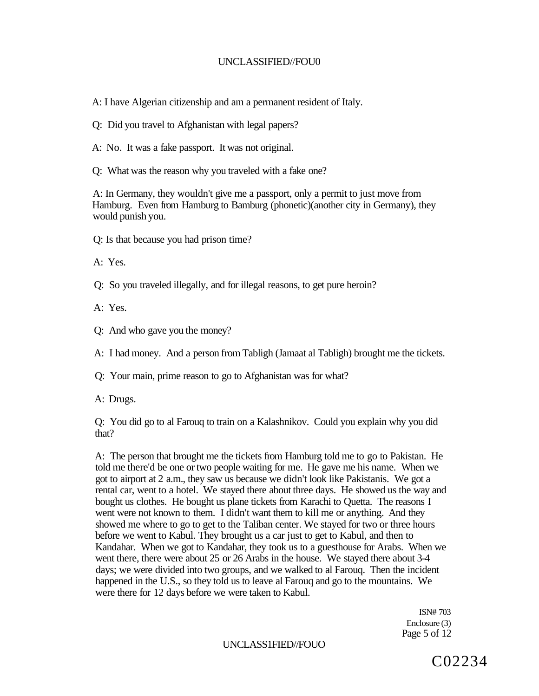A: I have Algerian citizenship and am a permanent resident of Italy.

Q: Did you travel to Afghanistan with legal papers?

A: No. It was a fake passport. It was not original.

Q: What was the reason why you traveled with a fake one?

A: In Germany, they wouldn't give me a passport, only a permit to just move from Hamburg. Even from Hamburg to Bamburg (phonetic)(another city in Germany), they would punish you.

Q: Is that because you had prison time?

A: Yes.

Q: So you traveled illegally, and for illegal reasons, to get pure heroin?

A: Yes.

Q: And who gave you the money?

A: I had money. And a person from Tabligh (Jamaat al Tabligh) brought me the tickets.

Q: Your main, prime reason to go to Afghanistan was for what?

A: Drugs.

Q: You did go to al Farouq to train on a Kalashnikov. Could you explain why you did that?

A: The person that brought me the tickets from Hamburg told me to go to Pakistan. He told me there'd be one or two people waiting for me. He gave me his name. When we got to airport at 2 a.m., they saw us because we didn't look like Pakistanis. We got a rental car, went to a hotel. We stayed there about three days. He showed us the way and bought us clothes. He bought us plane tickets from Karachi to Quetta. The reasons I went were not known to them. I didn't want them to kill me or anything. And they showed me where to go to get to the Taliban center. We stayed for two or three hours before we went to Kabul. They brought us a car just to get to Kabul, and then to Kandahar. When we got to Kandahar, they took us to a guesthouse for Arabs. When we went there, there were about 25 or 26 Arabs in the house. We stayed there about 3-4 days; we were divided into two groups, and we walked to al Farouq. Then the incident happened in the U.S., so they told us to leave al Farouq and go to the mountains. We were there for 12 days before we were taken to Kabul.

> ISN# 703 Enclosure (3) Page 5 of 12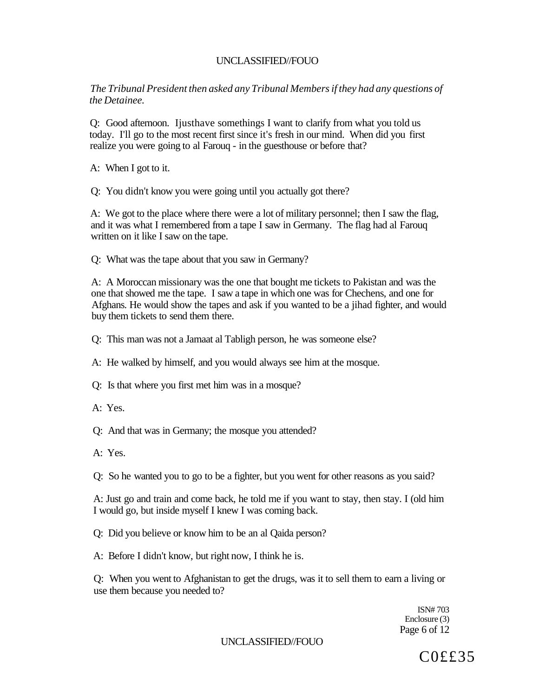*The Tribunal President then asked any Tribunal Members if they had any questions of the Detainee.* 

Q: Good afternoon. Ijusthave somethings I want to clarify from what you told us today. I'll go to the most recent first since it's fresh in our mind. When did you first realize you were going to al Farouq - in the guesthouse or before that?

A: When I got to it.

Q: You didn't know you were going until you actually got there?

A: We got to the place where there were a lot of military personnel; then I saw the flag, and it was what I remembered from a tape I saw in Germany. The flag had al Farouq written on it like I saw on the tape.

Q: What was the tape about that you saw in Germany?

A: A Moroccan missionary was the one that bought me tickets to Pakistan and was the one that showed me the tape. I saw a tape in which one was for Chechens, and one for Afghans. He would show the tapes and ask if you wanted to be a jihad fighter, and would buy them tickets to send them there.

Q: This man was not a Jamaat al Tabligh person, he was someone else?

A: He walked by himself, and you would always see him at the mosque.

Q: Is that where you first met him was in a mosque?

A: Yes.

Q: And that was in Germany; the mosque you attended?

A: Yes.

Q: So he wanted you to go to be a fighter, but you went for other reasons as you said?

A: Just go and train and come back, he told me if you want to stay, then stay. I (old him I would go, but inside myself I knew I was coming back.

Q: Did you believe or know him to be an al Qaida person?

A: Before I didn't know, but right now, I think he is.

Q: When you went to Afghanistan to get the drugs, was it to sell them to earn a living or use them because you needed to?

> ISN# 703 Enclosure (3) Page 6 of 12

UNCLASSIFIED//FOUO

C0££35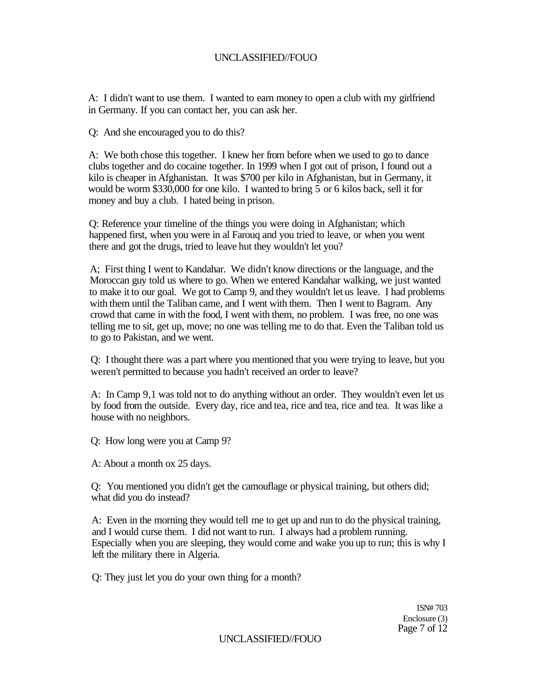A: I didn't want to use them. I wanted to earn money to open a club with my girlfriend in Germany. If you can contact her, you can ask her.

Q: And she encouraged you to do this?

A: We both chose this together. I knew her from before when we used to go to dance clubs together and do cocaine together. In 1999 when I got out of prison, I found out a kilo is cheaper in Afghanistan. It was \$700 per kilo in Afghanistan, but in Germany, it would be worm \$330,000 for one kilo. I wanted to bring 5 or 6 kilos back, sell it for money and buy a club. I hated being in prison.

Q: Reference your timeline of the things you were doing in Afghanistan; which happened first, when you were in al Farouq and you tried to leave, or when you went there and got the drugs, tried to leave hut they wouldn't let you?

A; First thing I went to Kandahar. We didn't know directions or the language, and the Moroccan guy told us where to go. When we entered Kandahar walking, we just wanted to make it to our goal. We got to Camp 9, and they wouldn't let us leave. I had problems with them until the Taliban came, and I went with them. Then I went to Bagram. Any crowd that came in with the food, I went with them, no problem. I was free, no one was telling me to sit, get up, move; no one was telling me to do that. Even the Taliban told us to go to Pakistan, and we went.

Q: I thought there was a part where you mentioned that you were trying to leave, but you weren't permitted to because you hadn't received an order to leave?

A: In Camp 9,1 was told not to do anything without an order. They wouldn't even let us by food from the outside. Every day, rice and tea, rice and tea, rice and tea. It was like a house with no neighbors.

Q: How long were you at Camp 9?

A: About a month ox 25 days.

Q: You mentioned you didn't get the camouflage or physical training, but others did; what did you do instead?

A: Even in the morning they would tell me to get up and run to do the physical training, and I would curse them. I did not want to run. I always had a problem running. Especially when you are sleeping, they would come and wake you up to run; this is why I left the military there in Algeria.

Q: They just let you do your own thing for a month?

1SN# 703 Enclosure (3) Page 7 of 12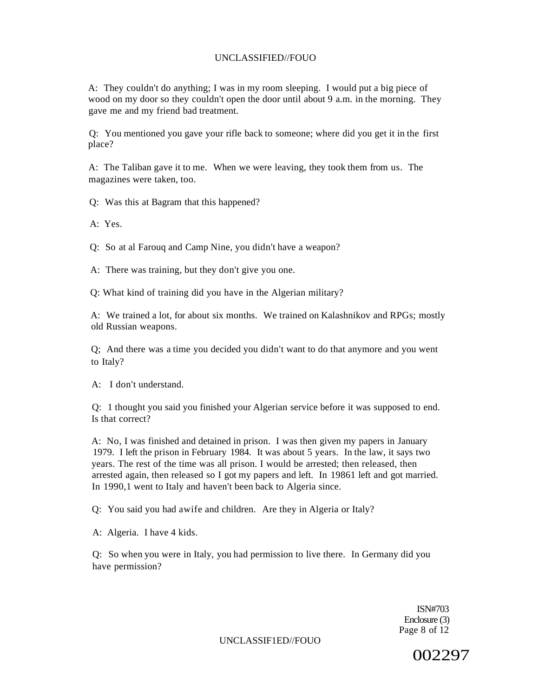A: They couldn't do anything; I was in my room sleeping. I would put a big piece of wood on my door so they couldn't open the door until about 9 a.m. in the morning. They gave me and my friend bad treatment.

Q: You mentioned you gave your rifle back to someone; where did you get it in the first place?

A: The Taliban gave it to me. When we were leaving, they took them from us. The magazines were taken, too.

Q: Was this at Bagram that this happened?

A: Yes.

Q: So at al Farouq and Camp Nine, you didn't have a weapon?

A: There was training, but they don't give you one.

Q: What kind of training did you have in the Algerian military?

A: We trained a lot, for about six months. We trained on Kalashnikov and RPGs; mostly old Russian weapons.

Q; And there was a time you decided you didn't want to do that anymore and you went to Italy?

A: I don't understand.

Q: 1 thought you said you finished your Algerian service before it was supposed to end. Is that correct?

A: No, I was finished and detained in prison. I was then given my papers in January 1979. I left the prison in February 1984. It was about 5 years. In the law, it says two years. The rest of the time was all prison. I would be arrested; then released, then arrested again, then released so I got my papers and left. In 19861 left and got married. In 1990,1 went to Italy and haven't been back to Algeria since.

Q: You said you had awife and children. Are they in Algeria or Italy?

A: Algeria. I have 4 kids.

Q: So when you were in Italy, you had permission to live there. In Germany did you have permission?

> ISN#703 Enclosure (3) Page 8 of 12

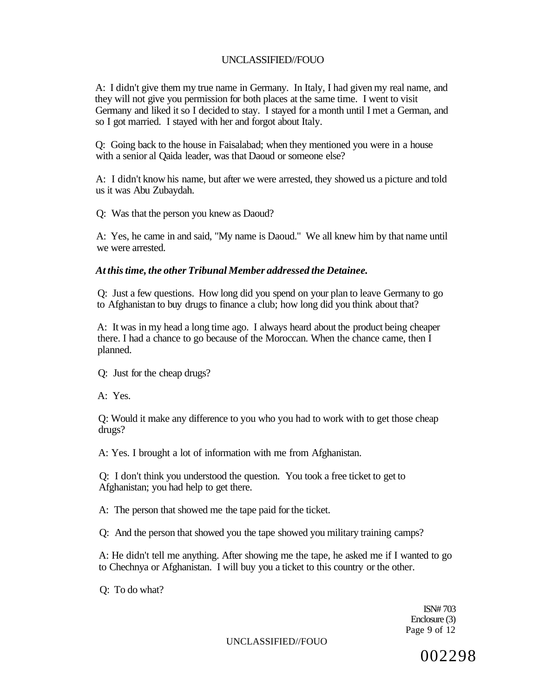A: I didn't give them my true name in Germany. In Italy, I had given my real name, and they will not give you permission for both places at the same time. I went to visit Germany and liked it so I decided to stay. I stayed for a month until I met a German, and so I got married. I stayed with her and forgot about Italy.

Q: Going back to the house in Faisalabad; when they mentioned you were in a house with a senior al Qaida leader, was that Daoud or someone else?

A: I didn't know his name, but after we were arrested, they showed us a picture and told us it was Abu Zubaydah.

Q: Was that the person you knew as Daoud?

A: Yes, he came in and said, "My name is Daoud." We all knew him by that name until we were arrested.

### *At this time, the other Tribunal Member addressed the Detainee.*

Q: Just a few questions. How long did you spend on your plan to leave Germany to go to Afghanistan to buy drugs to finance a club; how long did you think about that?

A: It was in my head a long time ago. I always heard about the product being cheaper there. I had a chance to go because of the Moroccan. When the chance came, then I planned.

Q: Just for the cheap drugs?

A: Yes.

Q: Would it make any difference to you who you had to work with to get those cheap drugs?

A: Yes. I brought a lot of information with me from Afghanistan.

Q: I don't think you understood the question. You took a free ticket to get to Afghanistan; you had help to get there.

A: The person that showed me the tape paid for the ticket.

Q: And the person that showed you the tape showed you military training camps?

A: He didn't tell me anything. After showing me the tape, he asked me if I wanted to go to Chechnya or Afghanistan. I will buy you a ticket to this country or the other.

Q: To do what?

ISN# 703 Enclosure (3) Page 9 of 12

UNCLASSIFIED//FOUO

002298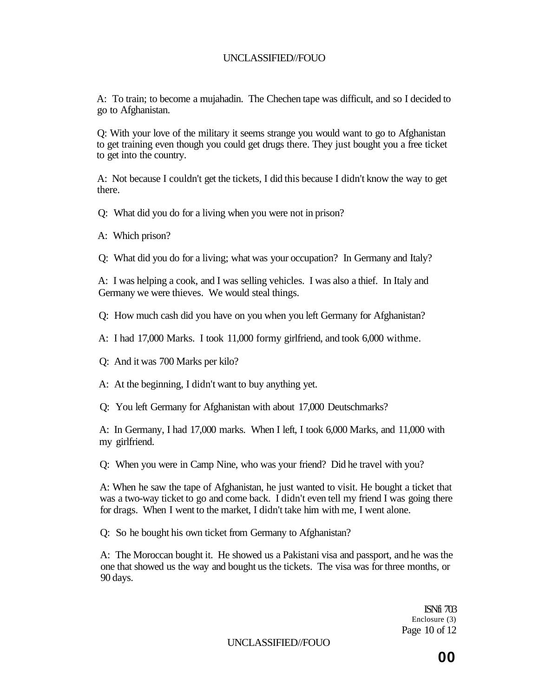A: To train; to become a mujahadin. The Chechen tape was difficult, and so I decided to go to Afghanistan.

Q: With your love of the military it seems strange you would want to go to Afghanistan to get training even though you could get drugs there. They just bought you a free ticket to get into the country.

A: Not because I couldn't get the tickets, I did this because I didn't know the way to get there.

Q: What did you do for a living when you were not in prison?

A: Which prison?

Q: What did you do for a living; what was your occupation? In Germany and Italy?

A: I was helping a cook, and I was selling vehicles. I was also a thief. In Italy and Germany we were thieves. We would steal things.

Q: How much cash did you have on you when you left Germany for Afghanistan?

A: I had 17,000 Marks. I took 11,000 formy girlfriend, and took 6,000 withme.

Q: And it was 700 Marks per kilo?

A: At the beginning, I didn't want to buy anything yet.

Q: You left Germany for Afghanistan with about 17,000 Deutschmarks?

A: In Germany, I had 17,000 marks. When I left, I took 6,000 Marks, and 11,000 with my girlfriend.

Q: When you were in Camp Nine, who was your friend? Did he travel with you?

A: When he saw the tape of Afghanistan, he just wanted to visit. He bought a ticket that was a two-way ticket to go and come back. I didn't even tell my friend I was going there for drags. When I went to the market, I didn't take him with me, I went alone.

Q: So he bought his own ticket from Germany to Afghanistan?

A: The Moroccan bought it. He showed us a Pakistani visa and passport, and he was the one that showed us the way and bought us the tickets. The visa was for three months, or 90 days.

> ISNfi 703 Enclosure (3) Page 10 of 12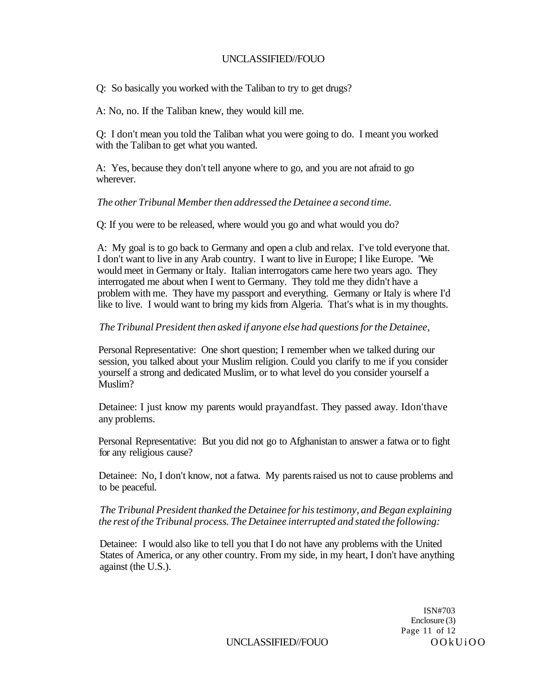Q: So basically you worked with the Taliban to try to get drugs?

A: No, no. If the Taliban knew, they would kill me.

Q: I don't mean you told the Taliban what you were going to do. I meant you worked with the Taliban to get what you wanted.

A: Yes, because they don't tell anyone where to go, and you are not afraid to go wherever.

## *The other Tribunal Member then addressed the Detainee a second time.*

Q: If you were to be released, where would you go and what would you do?

A: My goal is to go back to Germany and open a club and relax. I've told everyone that. I don't want to live in any Arab country. I want to live in Europe; I like Europe. "We would meet in Germany or Italy. Italian interrogators came here two years ago. They interrogated me about when I went to Germany. They told me they didn't have a problem with me. They have my passport and everything. Germany or Italy is where I'd like to live. I would want to bring my kids from Algeria. That's what is in my thoughts.

# *The Tribunal President then asked if anyone else had questions for the Detainee,*

Personal Representative: One short question; I remember when we talked during our session, you talked about your Muslim religion. Could you clarify to me if you consider yourself a strong and dedicated Muslim, or to what level do you consider yourself a Muslim?

Detainee: I just know my parents would prayandfast. They passed away. Idon'thave any problems.

Personal Representative: But you did not go to Afghanistan to answer a fatwa or to fight for any religious cause?

Detainee: No, I don't know, not a fatwa. My parents raised us not to cause problems and to be peaceful.

## *The Tribunal President thanked the Detainee for his testimony, and Began explaining the rest of the Tribunal process. The Detainee interrupted and stated the following:*

Detainee: I would also like to tell you that I do not have any problems with the United States of America, or any other country. From my side, in my heart, I don't have anything against (the U.S.).

> ISN#703 Enclosure (3) Page 11 of 12

UNCLASSIFIED//FOUO OOkUiOO